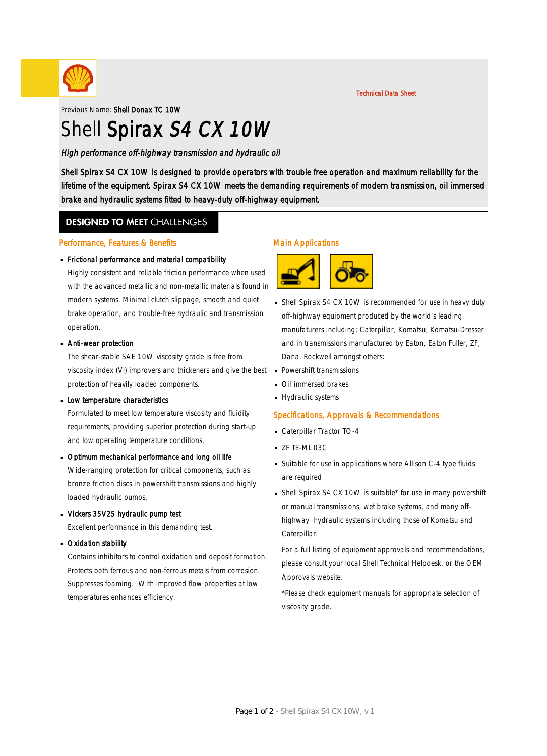

Technical Data Sheet

Previous Name: Shell Donax TC 10W

# Shell Spirax S4 CX 10W

High performance off-highway transmission and hydraulic oil

Shell Spirax S4 CX 10W is designed to provide operators with trouble free operation and maximum reliability for the lifetime of the equipment. Spirax S4 CX 10W meets the demanding requirements of modern transmission, oil immersed brake and hydraulic systems fitted to heavy-duty off-highway equipment.

### **DESIGNED TO MEET CHALLENGES**

#### Performance, Features & Benefits

# Frictional performance and material compatibility ·

Highly consistent and reliable friction performance when used with the advanced metallic and non-metallic materials found in modern systems. Minimal clutch slippage, smooth and quiet brake operation, and trouble-free hydraulic and transmission operation.

# • Anti-wear protection

The shear-stable SAE 10W viscosity grade is free from viscosity index (VI) improvers and thickeners and give the best protection of heavily loaded components.

# **Low temperature characteristics**

Formulated to meet low temperature viscosity and fluidity requirements, providing superior protection during start-up and low operating temperature conditions.

# Dptimum mechanical performance and long oil life

Wide-ranging protection for critical components, such as bronze friction discs in powershift transmissions and highly loaded hydraulic pumps.

Vickers 35V25 hydraulic pump test ·

Excellent performance in this demanding test.

**Dxidation stability** 

Contains inhibitors to control oxidation and deposit formation. Protects both ferrous and non-ferrous metals from corrosion. Suppresses foaming. With improved flow properties at low temperatures enhances efficiency.

### Main Applications



- Shell Spirax S4 CX 10W is recommended for use in heavy duty · off-highway equipment produced by the world's leading manufaturers including; Caterpillar, Komatsu, Komatsu-Dresser and in transmissions manufactured by Eaton, Eaton Fuller, ZF, Dana, Rockwell amongst others:
- Powershift transmissions ·
- Oil immersed brakes ·
- **Hydraulic systems**

### Specifications, Approvals & Recommendations

- Caterpillar Tractor TO-4
- $ZF$  TE-ML 03C
- Suitable for use in applications where Allison C-4 type fluids · are required
- Shell Spirax S4 CX 10W is suitable\* for use in many powershift or manual transmissions, wet brake systems, and many offhighway hydraulic systems including those of Komatsu and Caterpillar.

For a full listing of equipment approvals and recommendations, please consult your local Shell Technical Helpdesk, or the OEM Approvals website.

\*Please check equipment manuals for appropriate selection of viscosity grade.